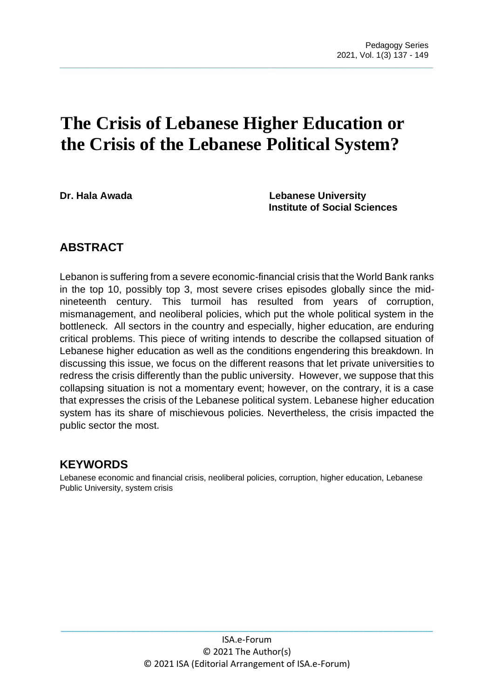# **The Crisis of Lebanese Higher Education or the Crisis of the Lebanese Political System?**

 $\_$  , and the set of the set of the set of the set of the set of the set of the set of the set of the set of the set of the set of the set of the set of the set of the set of the set of the set of the set of the set of th

**Dr. Hala Awada Lebanese University Institute of Social Sciences**

## **ABSTRACT**

Lebanon is suffering from a severe economic-financial crisis that the World Bank ranks in the top 10, possibly top 3, most severe crises episodes globally since the midnineteenth century. This turmoil has resulted from years of corruption, mismanagement, and neoliberal policies, which put the whole political system in the bottleneck. All sectors in the country and especially, higher education, are enduring critical problems. This piece of writing intends to describe the collapsed situation of Lebanese higher education as well as the conditions engendering this breakdown. In discussing this issue, we focus on the different reasons that let private universities to redress the crisis differently than the public university. However, we suppose that this collapsing situation is not a momentary event; however, on the contrary, it is a case that expresses the crisis of the Lebanese political system. Lebanese higher education system has its share of mischievous policies. Nevertheless, the crisis impacted the public sector the most.

## **KEYWORDS**

Lebanese economic and financial crisis, neoliberal policies, corruption, higher education, Lebanese Public University, system crisis

\_\_\_\_\_\_\_\_\_\_\_\_\_\_\_\_\_\_\_\_\_\_\_\_\_\_\_\_\_\_\_\_\_\_\_\_\_\_\_\_\_\_\_\_\_\_\_\_\_\_\_\_\_\_\_\_\_\_\_\_\_\_\_\_\_\_\_\_\_\_\_\_\_\_\_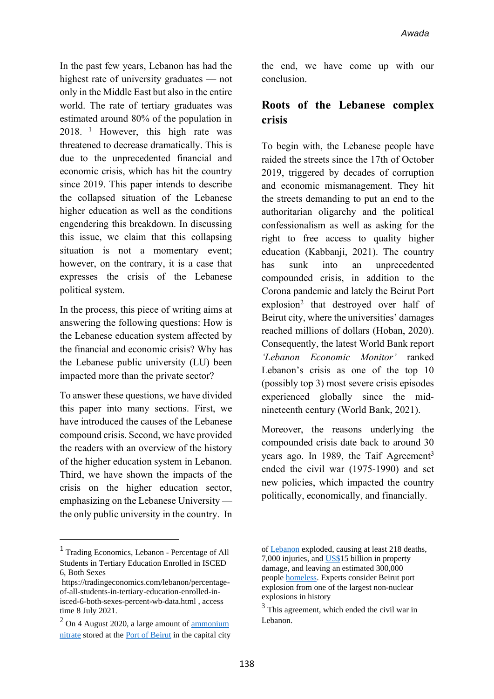In the past few years, Lebanon has had the highest rate of university graduates — not only in the Middle East but also in the entire world. The rate of tertiary graduates was estimated around 80% of the population in 2018. <sup>1</sup> However, this high rate was threatened to decrease dramatically. This is due to the unprecedented financial and economic crisis, which has hit the country since 2019. This paper intends to describe the collapsed situation of the Lebanese higher education as well as the conditions engendering this breakdown. In discussing this issue, we claim that this collapsing situation is not a momentary event; however, on the contrary, it is a case that expresses the crisis of the Lebanese political system.

In the process, this piece of writing aims at answering the following questions: How is the Lebanese education system affected by the financial and economic crisis? Why has the Lebanese public university (LU) been impacted more than the private sector?

To answer these questions, we have divided this paper into many sections. First, we have introduced the causes of the Lebanese compound crisis. Second, we have provided the readers with an overview of the history of the higher education system in Lebanon. Third, we have shown the impacts of the crisis on the higher education sector, emphasizing on the Lebanese University the only public university in the country. In the end, we have come up with our conclusion.

## **Roots of the Lebanese complex crisis**

To begin with, the Lebanese people have raided the streets since the 17th of October 2019, triggered by decades of corruption and economic mismanagement. They hit the streets demanding to put an end to the authoritarian oligarchy and the political confessionalism as well as asking for the right to free access to quality higher education (Kabbanji, 2021). The country has sunk into an unprecedented compounded crisis, in addition to the Corona pandemic and lately the Beirut Port explosion<sup>2</sup> that destroyed over half of Beirut city, where the universities' damages reached millions of dollars (Hoban, 2020). Consequently, the latest World Bank report *'Lebanon Economic Monitor'* ranked Lebanon's crisis as one of the top 10 (possibly top 3) most severe crisis episodes experienced globally since the midnineteenth century (World Bank, 2021).

Moreover, the reasons underlying the compounded crisis date back to around 30 years ago. In 1989, the Taif Agreement<sup>3</sup> ended the civil war (1975-1990) and set new policies, which impacted the country politically, economically, and financially.

<sup>1</sup> Trading Economics, Lebanon - Percentage of All Students in Tertiary Education Enrolled in ISCED 6, Both Sexes

[https://tradingeconomics.com/lebanon/percentage](https://tradingeconomics.com/lebanon/percentage-of-all-students-in-tertiary-education-enrolled-in-isced-6-both-sexes-percent-wb-data.html)[of-all-students-in-tertiary-education-enrolled-in](https://tradingeconomics.com/lebanon/percentage-of-all-students-in-tertiary-education-enrolled-in-isced-6-both-sexes-percent-wb-data.html)[isced-6-both-sexes-percent-wb-data.html](https://tradingeconomics.com/lebanon/percentage-of-all-students-in-tertiary-education-enrolled-in-isced-6-both-sexes-percent-wb-data.html) , access time 8 July 2021.

 $2$  On 4 August 2020, a large amount of  $\frac{1}{2}$  [ammonium](https://en.wikipedia.org/wiki/Ammonium_nitrate) [nitrate](https://en.wikipedia.org/wiki/Ammonium_nitrate) stored at the Port of [Beirut](https://en.wikipedia.org/wiki/Port_of_Beirut) in the capital city

of [Lebanon](https://en.wikipedia.org/wiki/Lebanon) exploded, causing at least 218 deaths, 7,000 injuries, and [US\\$1](https://en.wikipedia.org/wiki/United_States_dollar)5 billion in property damage, and leaving an estimated 300,000 people [homeless.](https://en.wikipedia.org/wiki/Homelessness) Experts consider Beirut port explosion from one of the largest non-nuclear explosions in history

<sup>&</sup>lt;sup>3</sup> This agreement, which ended the civil war in Lebanon.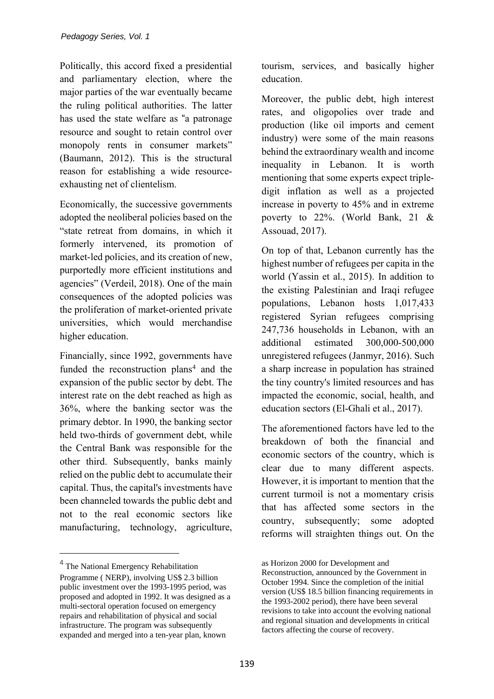Politically, this accord fixed a presidential and parliamentary election, where the major parties of the war eventually became the ruling political authorities. The latter has used the state welfare as "a patronage resource and sought to retain control over monopoly rents in consumer markets" (Baumann, 2012). This is the structural reason for establishing a wide resourceexhausting net of clientelism.

Economically, the successive governments adopted the neoliberal policies based on the "state retreat from domains, in which it formerly intervened, its promotion of market-led policies, and its creation of new, purportedly more efficient institutions and agencies" (Verdeil, 2018). One of the main consequences of the adopted policies was the proliferation of market-oriented private universities, which would merchandise higher education.

Financially, since 1992, governments have funded the reconstruction plans<sup>4</sup> and the expansion of the public sector by debt. The interest rate on the debt reached as high as 36%, where the banking sector was the primary debtor. In 1990, the banking sector held two-thirds of government debt, while the Central Bank was responsible for the other third. Subsequently, banks mainly relied on the public debt to accumulate their capital. Thus, the capital's investments have been channeled towards the public debt and not to the real economic sectors like manufacturing, technology, agriculture, tourism, services, and basically higher education.

Moreover, the public debt, high interest rates, and oligopolies over trade and production (like oil imports and cement industry) were some of the main reasons behind the extraordinary wealth and income inequality in Lebanon. It is worth mentioning that some experts expect tripledigit inflation as well as a projected increase in poverty to 45% and in extreme poverty to 22%. (World Bank, 21 & Assouad, 2017).

On top of that, Lebanon currently has the highest number of refugees per capita in the world (Yassin et al., 2015). In addition to the existing Palestinian and Iraqi refugee populations, Lebanon hosts 1,017,433 registered Syrian refugees comprising 247,736 households in Lebanon, with an additional estimated 300,000-500,000 unregistered refugees (Janmyr, 2016). Such a sharp increase in population has strained the tiny country's limited resources and has impacted the economic, social, health, and education sectors (El-Ghali et al., 2017).

The aforementioned factors have led to the breakdown of both the financial and economic sectors of the country, which is clear due to many different aspects. However, it is important to mention that the current turmoil is not a momentary crisis that has affected some sectors in the country, subsequently; some adopted reforms will straighten things out. On the

<sup>&</sup>lt;sup>4</sup> The National Emergency Rehabilitation Programme ( NERP), involving US\$ 2.3 billion public investment over the 1993-1995 period, was proposed and adopted in 1992. It was designed as a multi-sectoral operation focused on emergency repairs and rehabilitation of physical and social infrastructure. The program was subsequently expanded and merged into a ten-year plan, known

as Horizon 2000 for Development and Reconstruction, announced by the Government in October 1994. Since the completion of the initial version (US\$ 18.5 billion financing requirements in the 1993-2002 period), there have been several revisions to take into account the evolving national and regional situation and developments in critical factors affecting the course of recovery.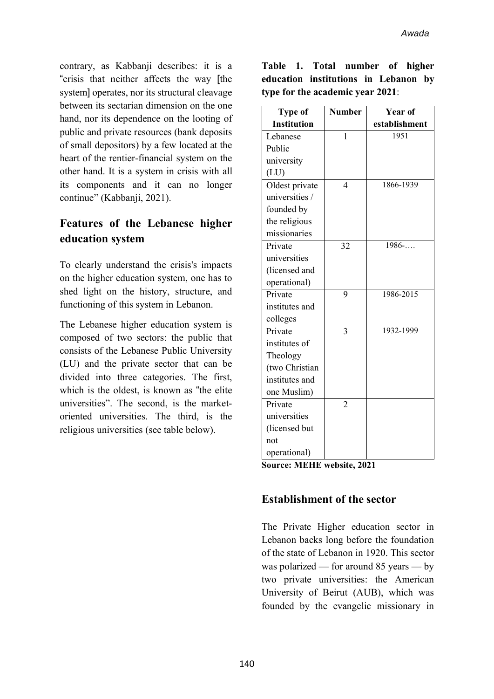contrary, as Kabbanji describes: it is a "crisis that neither affects the way [the system] operates, nor its structural cleavage between its sectarian dimension on the one hand, nor its dependence on the looting of public and private resources (bank deposits of small depositors) by a few located at the heart of the rentier-financial system on the other hand. It is a system in crisis with all its components and it can no longer continue" (Kabbanji, 2021).

## **Features of the Lebanese higher education system**

To clearly understand the crisis's impacts on the higher education system, one has to shed light on the history, structure, and functioning of this system in Lebanon.

The Lebanese higher education system is composed of two sectors: the public that consists of the Lebanese Public University (LU) and the private sector that can be divided into three categories. The first, which is the oldest, is known as "the elite universities". The second, is the marketoriented universities. The third, is the religious universities (see table below).

|  | Table 1. Total number of higher      |  |  |  |
|--|--------------------------------------|--|--|--|
|  | education institutions in Lebanon by |  |  |  |
|  | type for the academic year 2021:     |  |  |  |

| <b>Type of</b>               | <b>Number</b>  | <b>Year of</b> |  |  |  |
|------------------------------|----------------|----------------|--|--|--|
| <b>Institution</b>           |                | establishment  |  |  |  |
| Lebanese                     | $\mathbf{1}$   | 1951           |  |  |  |
| Public                       |                |                |  |  |  |
| university                   |                |                |  |  |  |
| (LU)                         |                |                |  |  |  |
| Oldest private               | $\overline{4}$ | 1866-1939      |  |  |  |
| universities /               |                |                |  |  |  |
| founded by                   |                |                |  |  |  |
| the religious                |                |                |  |  |  |
| missionaries                 |                |                |  |  |  |
| Private                      | 32             | 1986           |  |  |  |
| universities                 |                |                |  |  |  |
| (licensed and                |                |                |  |  |  |
| operational)                 |                |                |  |  |  |
| Private                      | 9              | 1986-2015      |  |  |  |
| institutes and               |                |                |  |  |  |
| colleges                     |                |                |  |  |  |
| Private                      | 3              | 1932-1999      |  |  |  |
| institutes of                |                |                |  |  |  |
| Theology                     |                |                |  |  |  |
| (two Christian               |                |                |  |  |  |
| institutes and               |                |                |  |  |  |
| one Muslim)                  |                |                |  |  |  |
| Private                      | $\overline{2}$ |                |  |  |  |
| universities                 |                |                |  |  |  |
| (licensed but                |                |                |  |  |  |
| not                          |                |                |  |  |  |
| operational)                 |                |                |  |  |  |
| Source: MFHF website<br>2021 |                |                |  |  |  |

**Source: MEHE website, 2021**

#### **Establishment of the sector**

The Private Higher education sector in Lebanon backs long before the foundation of the state of Lebanon in 1920. This sector was polarized — for around 85 years — by two private universities: the American University of Beirut (AUB), which was founded by the evangelic missionary in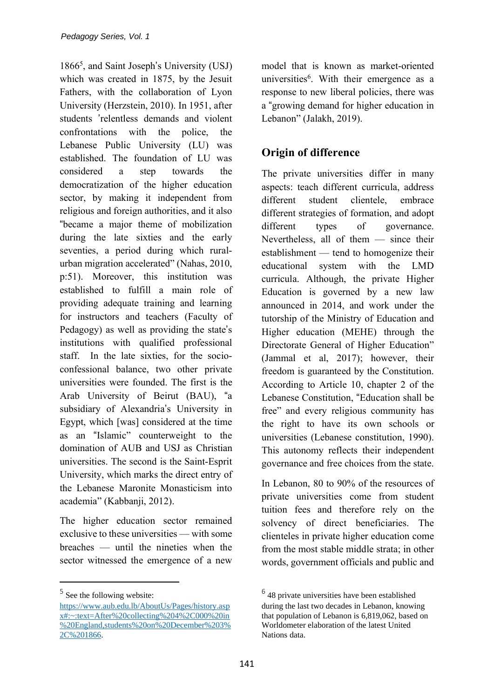1866<sup>5</sup> , and Saint Joseph's University (USJ) which was created in 1875, by the Jesuit Fathers, with the collaboration of Lyon University (Herzstein, 2010). In 1951, after students 'relentless demands and violent confrontations with the police, the Lebanese Public University (LU) was established. The foundation of LU was considered a step towards the democratization of the higher education sector, by making it independent from religious and foreign authorities, and it also "became a major theme of mobilization during the late sixties and the early seventies, a period during which ruralurban migration accelerated" (Nahas, 2010, p:51). Moreover, this institution was established to fulfill a main role of providing adequate training and learning for instructors and teachers (Faculty of Pedagogy) as well as providing the state's institutions with qualified professional staff. In the late sixties, for the socioconfessional balance, two other private universities were founded. The first is the Arab University of Beirut (BAU), "a subsidiary of Alexandria's University in Egypt, which [was] considered at the time as an "Islamic" counterweight to the domination of AUB and USJ as Christian universities. The second is the Saint-Esprit University, which marks the direct entry of the Lebanese Maronite Monasticism into academia" (Kabbanji, 2012).

The higher education sector remained exclusive to these universities — with some breaches — until the nineties when the sector witnessed the emergence of a new

<sup>5</sup> See the following website:

model that is known as market-oriented universities<sup>6</sup>. With their emergence as a response to new liberal policies, there was a "growing demand for higher education in Lebanon" (Jalakh, 2019).

# **Origin of difference**

The private universities differ in many aspects: teach different curricula, address different student clientele, embrace different strategies of formation, and adopt different types of governance. Nevertheless, all of them — since their establishment — tend to homogenize their educational system with the LMD curricula. Although, the private Higher Education is governed by a new law announced in 2014, and work under the tutorship of the Ministry of Education and Higher education (MEHE) through the Directorate General of Higher Education" (Jammal et al, 2017); however, their freedom is guaranteed by the Constitution. According to Article 10, chapter 2 of the Lebanese Constitution, "Education shall be free" and every religious community has the right to have its own schools or universities (Lebanese constitution, 1990). This autonomy reflects their independent governance and free choices from the state.

In Lebanon, 80 to 90% of the resources of private universities come from student tuition fees and therefore rely on the solvency of direct beneficiaries. The clienteles in private higher education come from the most stable middle strata; in other words, government officials and public and

[https://www.aub.edu.lb/AboutUs/Pages/history.asp](https://www.aub.edu.lb/AboutUs/Pages/history.aspx#:~:text=After%2520collecting%25204%252C000%2520in%2520England,students%2520on%2520December%25203%252C%25201866) [x#:~:text=After%20collecting%204%2C000%20in](https://www.aub.edu.lb/AboutUs/Pages/history.aspx#:~:text=After%2520collecting%25204%252C000%2520in%2520England,students%2520on%2520December%25203%252C%25201866) [%20England,students%20on%20December%203%](https://www.aub.edu.lb/AboutUs/Pages/history.aspx#:~:text=After%2520collecting%25204%252C000%2520in%2520England,students%2520on%2520December%25203%252C%25201866) [2C%201866.](https://www.aub.edu.lb/AboutUs/Pages/history.aspx#:~:text=After%2520collecting%25204%252C000%2520in%2520England,students%2520on%2520December%25203%252C%25201866)

<sup>6</sup> 48 private universities have been established during the last two decades in Lebanon, knowing that population of Lebanon is 6,819,062, based on Worldometer elaboration of the latest United Nations data.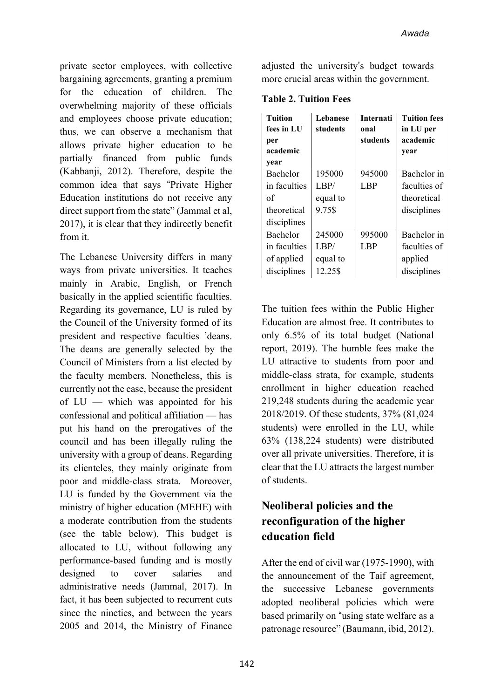private sector employees, with collective bargaining agreements, granting a premium for the education of children. The overwhelming majority of these officials and employees choose private education; thus, we can observe a mechanism that allows private higher education to be partially financed from public funds (Kabbanji, 2012). Therefore, despite the common idea that says "Private Higher Education institutions do not receive any direct support from the state" (Jammal et al, 2017), it is clear that they indirectly benefit from it.

The Lebanese University differs in many ways from private universities. It teaches mainly in Arabic, English, or French basically in the applied scientific faculties. Regarding its governance, LU is ruled by the Council of the University formed of its president and respective faculties 'deans. The deans are generally selected by the Council of Ministers from a list elected by the faculty members. Nonetheless, this is currently not the case, because the president of LU — which was appointed for his confessional and political affiliation — has put his hand on the prerogatives of the council and has been illegally ruling the university with a group of deans. Regarding its clienteles, they mainly originate from poor and middle-class strata. Moreover, LU is funded by the Government via the ministry of higher education (MEHE) with a moderate contribution from the students (see the table below). This budget is allocated to LU, without following any performance-based funding and is mostly designed to cover salaries and administrative needs (Jammal, 2017). In fact, it has been subjected to recurrent cuts since the nineties, and between the years 2005 and 2014, the Ministry of Finance

adjusted the university's budget towards more crucial areas within the government.

| <b>Tuition</b><br>fees in LU<br>per<br>academic | Lebanese<br>students | <b>Internati</b><br>onal<br>students | <b>Tuition fees</b><br>in LU per<br>academic<br>year |
|-------------------------------------------------|----------------------|--------------------------------------|------------------------------------------------------|
| year                                            |                      |                                      |                                                      |
| Bachelor                                        | 195000               | 945000                               | Bachelor in                                          |
| in faculties                                    | LBP/                 | <b>LBP</b>                           | faculties of                                         |
| of                                              | equal to             |                                      | theoretical                                          |
| theoretical                                     | 9.75\$               |                                      | disciplines                                          |
| disciplines                                     |                      |                                      |                                                      |
| Bachelor                                        | 245000               | 995000                               | Bachelor in                                          |
| in faculties                                    | LBP/                 | L <sub>BP</sub>                      | faculties of                                         |
| of applied                                      | equal to             |                                      | applied                                              |
| disciplines                                     | 12.25\$              |                                      | disciplines                                          |

**Table 2. Tuition Fees**

The tuition fees within the Public Higher Education are almost free. It contributes to only 6.5% of its total budget (National report, 2019). The humble fees make the LU attractive to students from poor and middle-class strata, for example, students enrollment in higher education reached 219,248 students during the academic year 2018/2019. Of these students, 37% (81,024 students) were enrolled in the LU, while 63% (138,224 students) were distributed over all private universities. Therefore, it is clear that the LU attracts the largest number of students.

# **Neoliberal policies and the reconfiguration of the higher education field**

After the end of civil war (1975-1990), with the announcement of the Taif agreement, the successive Lebanese governments adopted neoliberal policies which were based primarily on "using state welfare as a patronage resource" (Baumann, ibid, 2012).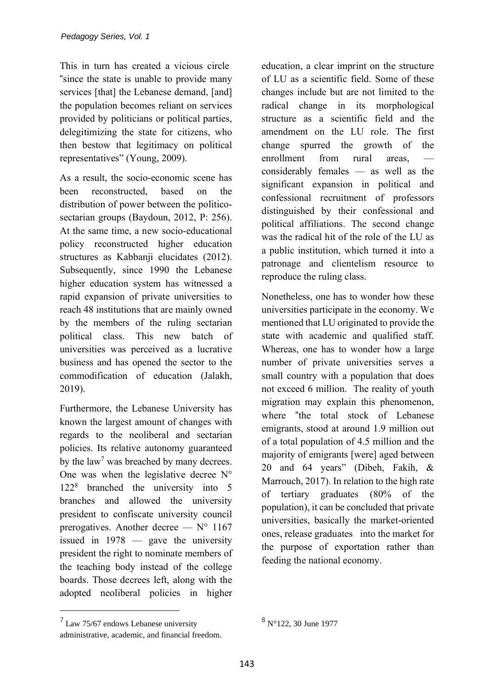This in turn has created a vicious circle "since the state is unable to provide many services [that] the Lebanese demand, [and] the population becomes reliant on services provided by politicians or political parties, delegitimizing the state for citizens, who then bestow that legitimacy on political representatives" (Young, 2009).

As a result, the socio-economic scene has been reconstructed, based on the distribution of power between the politicosectarian groups (Baydoun, 2012, P: 256). At the same time, a new socio-educational policy reconstructed higher education structures as Kabbanji elucidates (2012). Subsequently, since 1990 the Lebanese higher education system has witnessed a rapid expansion of private universities to reach 48 institutions that are mainly owned by the members of the ruling sectarian political class. This new batch of universities was perceived as a lucrative business and has opened the sector to the commodification of education (Jalakh, 2019).

Furthermore, the Lebanese University has known the largest amount of changes with regards to the neoliberal and sectarian policies. Its relative autonomy guaranteed by the  $law<sup>7</sup>$  was breached by many decrees. One was when the legislative decree  $N^{\circ}$ 122<sup>8</sup> branched the university into 5 branches and allowed the university president to confiscate university council prerogatives. Another decree  $- N^{\circ} 1167$ issued in 1978 — gave the university president the right to nominate members of the teaching body instead of the college boards. Those decrees left, along with the adopted neoliberal policies in higher education, a clear imprint on the structure of LU as a scientific field. Some of these changes include but are not limited to the radical change in its morphological structure as a scientific field and the amendment on the LU role. The first change spurred the growth of the enrollment from rural areas, considerably females — as well as the significant expansion in political and confessional recruitment of professors distinguished by their confessional and political affiliations. The second change was the radical hit of the role of the LU as a public institution, which turned it into a patronage and clientelism resource to reproduce the ruling class.

Nonetheless, one has to wonder how these universities participate in the economy. We mentioned that LU originated to provide the state with academic and qualified staff. Whereas, one has to wonder how a large number of private universities serves a small country with a population that does not exceed 6 million. The reality of youth migration may explain this phenomenon, where "the total stock of Lebanese emigrants, stood at around 1.9 million out of a total population of 4.5 million and the majority of emigrants [were] aged between 20 and 64 years" (Dibeh, Fakih, & Marrouch, 2017). In relation to the high rate of tertiary graduates (80% of the population), it can be concluded that private universities, basically the market-oriented ones, release graduates into the market for the purpose of exportation rather than feeding the national economy.

 $7$  Law 75/67 endows Lebanese university administrative, academic, and financial freedom.

<sup>8</sup> N°122, 30 June 1977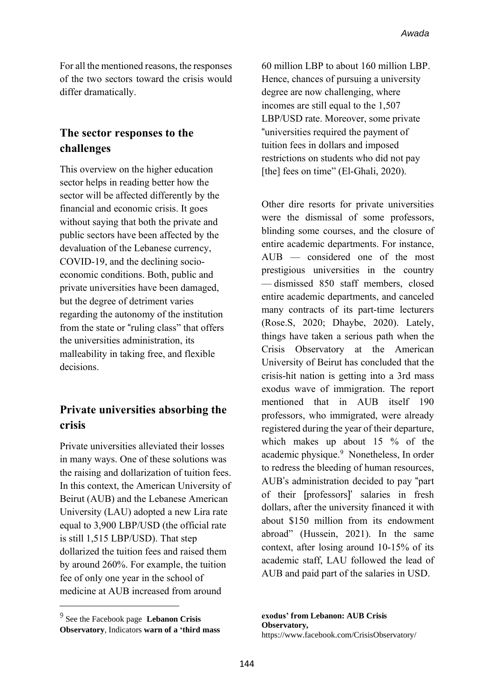For all the mentioned reasons, the responses of the two sectors toward the crisis would differ dramatically.

#### **The sector responses to the challenges**

This overview on the higher education sector helps in reading better how the sector will be affected differently by the financial and economic crisis. It goes without saying that both the private and public sectors have been affected by the devaluation of the Lebanese currency, COVID-19, and the declining socioeconomic conditions. Both, public and private universities have been damaged, but the degree of detriment varies regarding the autonomy of the institution from the state or "ruling class" that offers the universities administration, its malleability in taking free, and flexible decisions.

#### **Private universities absorbing the crisis**

Private universities alleviated their losses in many ways. One of these solutions was the raising and dollarization of tuition fees. In this context, the American University of Beirut (AUB) and the Lebanese American University (LAU) adopted a new Lira rate equal to 3,900 LBP/USD (the official rate is still 1,515 LBP/USD). That step dollarized the tuition fees and raised them by around 260%. For example, the tuition fee of only one year in the school of medicine at AUB increased from around

60 million LBP to about 160 million LBP. Hence, chances of pursuing a university degree are now challenging, where incomes are still equal to the 1,507 LBP/USD rate. Moreover, some private "universities required the payment of tuition fees in dollars and imposed restrictions on students who did not pay [the] fees on time" (El-Ghali, 2020).

Other dire resorts for private universities were the dismissal of some professors, blinding some courses, and the closure of entire academic departments. For instance, AUB — considered one of the most prestigious universities in the country — [dismissed](https://www.al-fanarmedia.org/2020/07/university-professors-feel-the-pain-of-lebanons-worsening-crisis/) 850 staff members, closed entire academic departments, and canceled many contracts of its part-time lecturers (Rose.S, 2020; Dhaybe, 2020). Lately, things have taken a serious path when the Crisis Observatory at the American University of Beirut has concluded that the crisis-hit nation is getting into a 3rd mass exodus wave of immigration. The report mentioned that in AUB itself 190 professors, who immigrated, were already registered during the year of their departure, which makes up about 15 % of the academic physique.<sup>9</sup> Nonetheless, In order to redress the bleeding of human resources, AUB's administration decided to pay "part of their [professors]' salaries in fresh dollars, after the university financed it with about \$150 million from its endowment abroad" (Hussein, 2021). In the same context, after losing around 10-15% of its academic staff, LAU followed the lead of AUB and paid part of the salaries in USD.

**exodus' from Lebanon: AUB Crisis Observatory,** https://www.facebook.com/CrisisObservatory/

<sup>9</sup> See the Facebook page **Lebanon Crisis Observatory**, Indicators **warn of a 'third mass**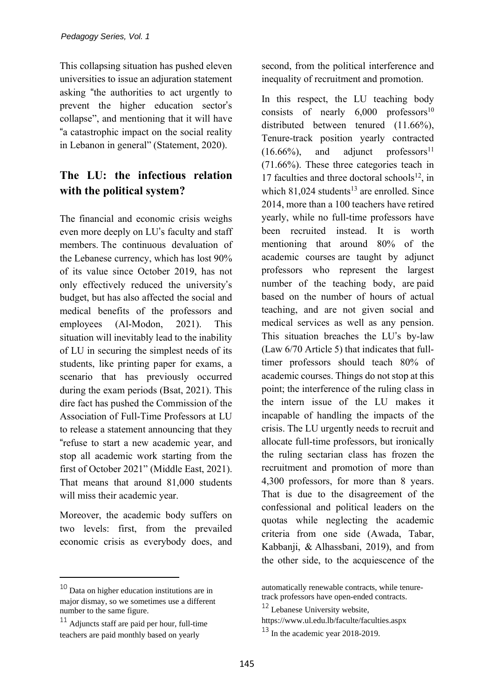This collapsing situation has pushed eleven universities to issue an adjuration statement asking "the authorities to act urgently to prevent the higher education sector's collapse", and mentioning that it will have "a catastrophic impact on the social reality in Lebanon in general" (Statement, 2020).

# **The LU: the infectious relation with the political system?**

The financial and economic crisis weighs even more deeply on LU's faculty and staff members. The continuous devaluation of the Lebanese currency, which has lost 90% of its value since October 2019, has not only effectively reduced the university's budget, but has also affected the social and medical benefits of the professors and employees (Al-Modon, 2021). This situation will inevitably lead to the inability of LU in securing the simplest needs of its students, like printing paper for exams, a scenario that has previously occurred during the exam periods (Bsat, 2021). This dire fact has pushed the Commission of the Association of Full-Time Professors at LU to release a statement announcing that they "refuse to start a new academic year, and stop all academic work starting from the first of October 2021" (Middle East, 2021). That means that around 81,000 students will miss their academic year.

Moreover, the academic body suffers on two levels: first, from the prevailed economic crisis as everybody does, and second, from the political interference and inequality of recruitment and promotion.

In this respect, the LU teaching body consists of nearly  $6,000$  professors<sup>10</sup> distributed between tenured (11.66%), Tenure-track position yearly contracted  $(16.66\%)$ , and adjunct professors<sup>11</sup> (71.66%). These three categories teach in 17 faculties and three doctoral schools<sup>12</sup>, in which  $81.024$  students<sup>13</sup> are enrolled. Since 2014, more than a 100 teachers have retired yearly, while no full-time professors have been recruited instead. It is worth mentioning that around 80% of the academic courses are taught by adjunct professors who represent the largest number of the teaching body, are paid based on the number of hours of actual teaching, and are not given social and medical services as well as any pension. This situation breaches the LU's by-law (Law 6/70 Article 5) that indicates that fulltimer professors should teach 80% of academic courses. Things do not stop at this point; the interference of the ruling class in the intern issue of the LU makes it incapable of handling the impacts of the crisis. The LU urgently needs to recruit and allocate full-time professors, but ironically the ruling sectarian class has frozen the recruitment and promotion of more than 4,300 professors, for more than 8 years. That is due to the disagreement of the confessional and political leaders on the quotas while neglecting the academic criteria from one side (Awada, Tabar, Kabbanji, & Alhassbani, 2019), and from the other side, to the acquiescence of the

<sup>10</sup> Data on higher education institutions are in major dismay, so we sometimes use a different number to the same figure.

<sup>11</sup> Adjuncts staff are paid per hour, full-time teachers are paid monthly based on yearly

automatically renewable contracts, while tenuretrack professors have open-ended contracts.

<sup>12</sup> Lebanese University website,

https://www.ul.edu.lb/faculte/faculties.aspx

 $13$  In the academic year 2018-2019.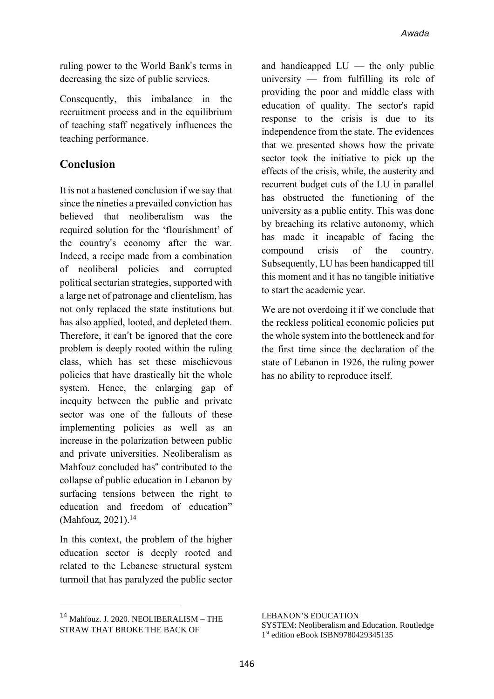ruling power to the World Bank's terms in decreasing the size of public services.

Consequently, this imbalance in the recruitment process and in the equilibrium of teaching staff negatively influences the teaching performance.

#### **Conclusion**

It is not a hastened conclusion if we say that since the nineties a prevailed conviction has believed that neoliberalism was the required solution for the 'flourishment' of the country's economy after the war. Indeed, a recipe made from a combination of neoliberal policies and corrupted political sectarian strategies, supported with a large net of patronage and clientelism, has not only replaced the state institutions but has also applied, looted, and depleted them. Therefore, it can't be ignored that the core problem is deeply rooted within the ruling class, which has set these mischievous policies that have drastically hit the whole system. Hence, the enlarging gap of inequity between the public and private sector was one of the fallouts of these implementing policies as well as an increase in the polarization between public and private universities. Neoliberalism as Mahfouz concluded has" contributed to the collapse of public education in Lebanon by surfacing tensions between the right to education and freedom of education" (Mahfouz, 2021).<sup>14</sup>

In this context, the problem of the higher education sector is deeply rooted and related to the Lebanese structural system turmoil that has paralyzed the public sector and handicapped  $LU$  — the only public university — from fulfilling its role of providing the poor and middle class with education of quality. The sector's rapid response to the crisis is due to its independence from the state. The evidences that we presented shows how the private sector took the initiative to pick up the effects of the crisis, while, the austerity and recurrent budget cuts of the LU in parallel has obstructed the functioning of the university as a public entity. This was done by breaching its relative autonomy, which has made it incapable of facing the compound crisis of the country. Subsequently, LU has been handicapped till this moment and it has no tangible initiative to start the academic year.

We are not overdoing it if we conclude that the reckless political economic policies put the whole system into the bottleneck and for the first time since the declaration of the state of Lebanon in 1926, the ruling power has no ability to reproduce itself.

<sup>14</sup> Mahfouz. J. 2020. NEOLIBERALISM – THE STRAW THAT BROKE THE BACK OF

LEBANON'S EDUCATION SYSTEM: Neoliberalism and Education. Routledge 1 st edition eBook ISBN9780429345135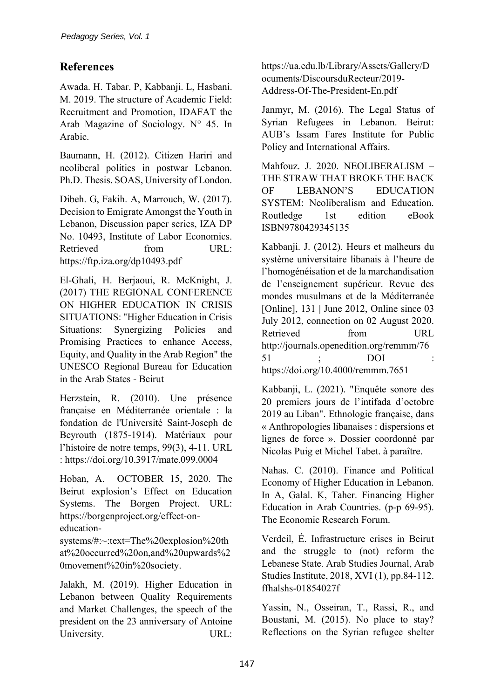#### **References**

Awada. H. Tabar. P, Kabbanji. L, Hasbani. M. 2019. The structure of Academic Field: Recruitment and Promotion, IDAFAT the Arab Magazine of Sociology. N° 45. In Arabic.

Baumann, H. (2012). Citizen Hariri and neoliberal politics in postwar Lebanon. Ph.D. Thesis. SOAS, University of London.

Dibeh. G, Fakih. A, Marrouch, W. (2017). Decision to Emigrate Amongst the Youth in Lebanon, Discussion paper series, IZA DP No. 10493, Institute of Labor Economics. Retrieved from URL: https://ftp.iza.org/dp10493.pdf

El-Ghali, H. Berjaoui, R. McKnight, J. (2017) THE REGIONAL CONFERENCE ON HIGHER EDUCATION IN CRISIS SITUATIONS: "Higher Education in Crisis Situations: Synergizing Policies and Promising Practices to enhance Access, Equity, and Quality in the Arab Region" the UNESCO Regional Bureau for Education in the Arab States - Beirut

Herzstein, R. (2010). Une présence française en Méditerranée orientale : la fondation de l'Université Saint-Joseph de Beyrouth (1875-1914). Matériaux pour l'histoire de notre temps, 99(3), 4-11. URL : https://doi.org/10.3917/mate.099.0004

Hoban, A. OCTOBER 15, 2020. The Beirut explosion's Effect on Education Systems. The Borgen Project. URL: https://borgenproject.org/effect-oneducation-

systems/#:~:text=The%20explosion%20th at%20occurred%20on,and%20upwards%2 0movement%20in%20society.

Jalakh, M. (2019). Higher Education in Lebanon between Quality Requirements and Market Challenges, the speech of the president on the 23 anniversary of Antoine University. URL: https://ua.edu.lb/Library/Assets/Gallery/D ocuments/DiscoursduRecteur/2019- Address-Of-The-President-En.pdf

Janmyr, M. (2016). The Legal Status of Syrian Refugees in Lebanon. Beirut: AUB's Issam Fares Institute for Public Policy and International Affairs.

Mahfouz. J. 2020. NEOLIBERALISM – THE STRAW THAT BROKE THE BACK OF LEBANON'S EDUCATION SYSTEM: Neoliberalism and Education. Routledge 1st edition eBook ISBN9780429345135

Kabbanji. J. (2012). Heurs et malheurs du système universitaire libanais à l'heure de l'homogénéisation et de la marchandisation de l'enseignement supérieur. Revue des mondes musulmans et de la Méditerranée [Online], 131 | June 2012, Online since 03 July 2012, connection on 02 August 2020. Retrieved from URL http://journals.openedition.org/remmm/76 51 ; DOI : https://doi.org/10.4000/remmm.7651

Kabbanji, L. (2021). "Enquête sonore des 20 premiers jours de l'intifada d'octobre 2019 au Liban". Ethnologie française, dans « Anthropologies libanaises : dispersions et lignes de force ». Dossier coordonné par Nicolas Puig et Michel Tabet. à paraître.

Nahas. C. (2010). Finance and Political Economy of Higher Education in Lebanon. In A, Galal. K, Taher. Financing Higher Education in Arab Countries. (p-p 69-95). The Economic Research Forum.

Verdeil, É. Infrastructure crises in Beirut and the struggle to (not) reform the Lebanese State. Arab Studies Journal, Arab Studies Institute, 2018, XVI (1), pp.84-112. ffhalshs-01854027f

Yassin, N., Osseiran, T., Rassi, R., and Boustani, M. (2015). No place to stay? Reflections on the Syrian refugee shelter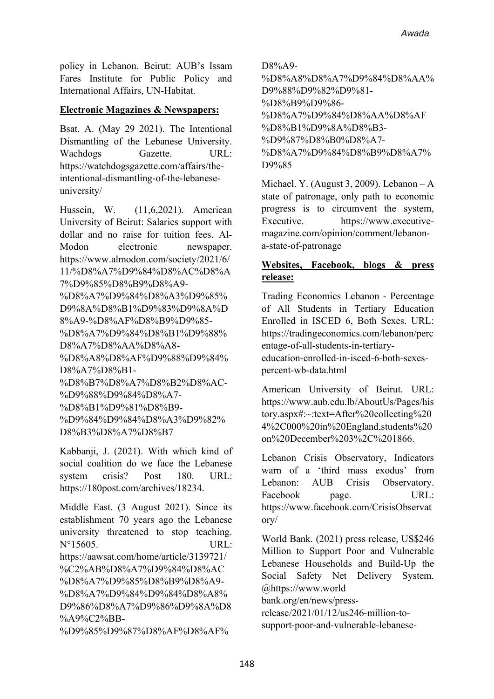policy in Lebanon. Beirut: AUB's Issam Fares Institute for Public Policy and International Affairs, UN-Habitat.

#### **Electronic Magazines & Newspapers:**

Bsat. A. (May 29 2021). The Intentional Dismantling of the Lebanese University. Wachdogs Gazette. URL: https://watchdogsgazette.com/affairs/theintentional-dismantling-of-the-lebaneseuniversity/

Hussein, W. (11,6,2021). American University of Beirut: Salaries support with dollar and no raise for tuition fees. Al-Modon electronic newspaper. https://www.almodon.com/society/2021/6/ 11/%D8%A7%D9%84%D8%AC%D8%A 7%D9%85%D8%B9%D8%A9- %D8%A7%D9%84%D8%A3%D9%85% D9%8A%D8%B1%D9%83%D9%8A%D 8%A9-%D8%AF%D8%B9%D9%85- %D8%A7%D9%84%D8%B1%D9%88% D8%A7%D8%AA%D8%A8- %D8%A8%D8%AF%D9%88%D9%84% D8%A7%D8%B1- %D8%B7%D8%A7%D8%B2%D8%AC- %D9%88%D9%84%D8%A7- %D8%B1%D9%81%D8%B9- %D9%84%D9%84%D8%A3%D9%82% D8%B3%D8%A7%D8%B7

Kabbanji, J. (2021). With which kind of social coalition do we face the Lebanese system crisis? Post 180. URL: https://180post.com/archives/18234.

Middle East. (3 August 2021). Since its establishment 70 years ago the Lebanese university threatened to stop teaching. N°15605. URL: https://aawsat.com/home/article/3139721/ %C2%AB%D8%A7%D9%84%D8%AC %D8%A7%D9%85%D8%B9%D8%A9- %D8%A7%D9%84%D9%84%D8%A8% D9%86%D8%A7%D9%86%D9%8A%D8 %A9%C2%BB-

%D9%85%D9%87%D8%AF%D8%AF%

D8%A9-

%D8%A8%D8%A7%D9%84%D8%AA% D9%88%D9%82%D9%81- %D8%B9%D9%86- %D8%A7%D9%84%D8%AA%D8%AF %D8%B1%D9%8A%D8%B3- %D9%87%D8%B0%D8%A7- %D8%A7%D9%84%D8%B9%D8%A7% D9%85

Michael. Y. (August 3, 2009). Lebanon – A state of patronage, only path to economic progress is to circumvent the system, Executive. https://www.executivemagazine.com/opinion/comment/lebanona-state-of-patronage

#### **Websites, Facebook, blogs & press release:**

Trading Economics Lebanon - Percentage of All Students in Tertiary Education Enrolled in ISCED 6, Both Sexes. URL: https://tradingeconomics.com/lebanon/perc entage-of-all-students-in-tertiary-

education-enrolled-in-isced-6-both-sexespercent-wb-data.html

American University of Beirut. URL: https://www.aub.edu.lb/AboutUs/Pages/his tory.aspx#:~:text=After%20collecting%20 4%2C000%20in%20England,students%20 on%20December%203%2C%201866.

Lebanon Crisis Observatory, Indicators warn of a 'third mass exodus' from Lebanon: AUB Crisis Observatory. Facebook page. URL: https://www.facebook.com/CrisisObservat ory/

World Bank. (2021) press release, US\$246 Million to Support Poor and Vulnerable Lebanese Households and Build-Up the Social Safety Net Delivery System. @https://www.world

bank.org/en/news/press-

release/2021/01/12/us246-million-tosupport-poor-and-vulnerable-lebanese